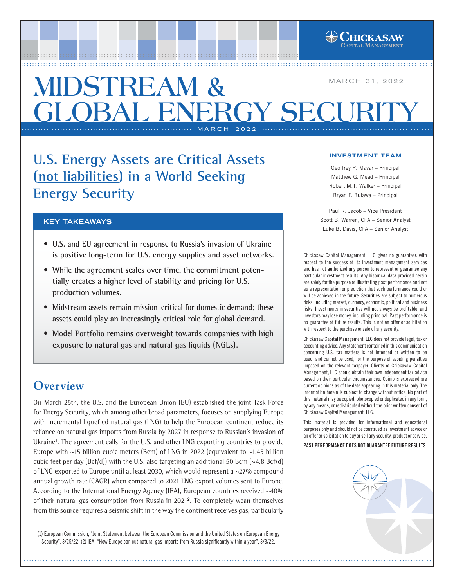

**U.S. Energy Assets are Critical Assets (not liabilities) in a World Seeking Energy Security**

### **KEY TAKEAWAYS**

- **U.S. and EU agreement in response to Russia's invasion of Ukraine is positive long-term for U.S. energy supplies and asset networks.**
- **While the agreement scales over time, the commitment potentially creates a higher level of stability and pricing for U.S. production volumes.**
- **Midstream assets remain mission-critical for domestic demand; these assets could play an increasingly critical role for global demand.**
- **Model Portfolio remains overweight towards companies with high exposure to natural gas and natural gas liquids (NGLs).**

# **Overview**

On March 25th, the U.S. and the European Union (EU) established the joint Task Force for Energy Security, which among other broad parameters, focuses on supplying Europe with incremental liquefied natural gas (LNG) to help the European continent reduce its reliance on natural gas imports from Russia by 2027 in response to Russian's invasion of Ukraine**<sup>1</sup>** . The agreement calls for the U.S. and other LNG exporting countries to provide Europe with  $\sim$ 15 billion cubic meters (Bcm) of LNG in 2022 (equivalent to  $\sim$ 1.45 billion cubic feet per day ( $Bcf/d$ )) with the U.S. also targeting an additional 50 Bcm ( $\sim$ 4.8 Bcf/d) of LNG exported to Europe until at least 2030, which would represent a  $\sim$ 27% compound annual growth rate (CAGR) when compared to 2021 LNG export volumes sent to Europe. According to the International Energy Agency (IEA), European countries received  $\sim$ 40% of their natural gas consumption from Russia in 2021**<sup>2</sup>**. To completely wean themselves from this source requires a seismic shift in the way the continent receives gas, particularly

(1) European Commission, "Joint Statement between the European Commission and the United States on European Energy Security", 3/25/22. (2) IEA, "How Europe can cut natural gas imports from Russia significantly within a year", 3/3/22.

#### INVESTMENT TEAM

**ITAL MANAGEMENT** 

Geoffrey P. Mavar – Principal Matthew G. Mead – Principal Robert M.T. Walker – Principal Bryan F. Bulawa – Principal

Paul R. Jacob – Vice President Scott B. Warren, CFA – Senior Analyst Luke B. Davis, CFA – Senior Analyst

Chickasaw Capital Management, LLC gives no guarantees with respect to the success of its investment management services and has not authorized any person to represent or guarantee any particular investment results. Any historical data provided herein are solely for the purpose of illustrating past performance and not as a representation or prediction that such performance could or will be achieved in the future. Securities are subject to numerous risks, including market, currency, economic, political and business risks. Investments in securities will not always be profitable, and investors may lose money, including principal. Past performance is no guarantee of future results. This is not an offer or solicitation with respect to the purchase or sale of any security.

Chickasaw Capital Management, LLC does not provide legal, tax or accounting advice. Any statement contained in this communication concerning U.S. tax matters is not intended or written to be used, and cannot be used, for the purpose of avoiding penalties imposed on the relevant taxpayer. Clients of Chickasaw Capital Management, LLC should obtain their own independent tax advice based on their particular circumstances. Opinions expressed are current opinions as of the date appearing in this material only. The information herein is subject to change without notice. No part of this material may be copied, photocopied or duplicated in any form, by any means, or redistributed without the prior written consent of Chickasaw Capital Management, LLC.

This material is provided for informational and educational purposes only and should not be construed as investment advice or an offer or solicitation to buy or sell any security, product or service.

#### PAST PERFORMANCE DOES NOT GUARANTEE FUTURE RESULTS.

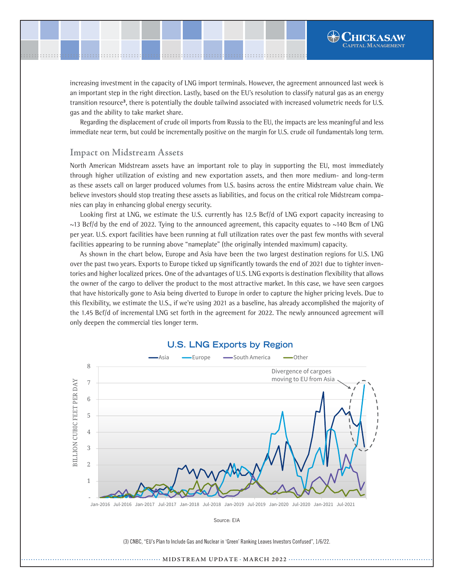increasing investment in the capacity of LNG import terminals. However, the agreement announced last week is an important step in the right direction. Lastly, based on the EU's resolution to classify natural gas as an energy transition resource**<sup>3</sup>**, there is potentially the double tailwind associated with increased volumetric needs for U.S. gas and the ability to take market share.

Regarding the displacement of crude oil imports from Russia to the EU, the impacts are less meaningful and less immediate near term, but could be incrementally positive on the margin for U.S. crude oil fundamentals long term.

### **Impact on Midstream Assets**

Source: U.S. Department of Energy

.......................................................................................................[.](http://www.chickasawcap.com) ........................................................................................................

> North American Midstream assets have an important role to play in supporting the EU, most immediately through higher utilization of existing and new exportation assets, and then more medium- and long-term as these assets call on larger produced volumes from U.S. basins across the entire Midstream value chain. We believe investors should stop treating these assets as liabilities, and focus on the critical role Midstream companies can play in enhancing global energy security.

> Looking first at LNG, we estimate the U.S. currently has 12.5 Bcf/d of LNG export capacity increasing to  $\sim$ 13 Bcf/d by the end of 2022. Tying to the announced agreement, this capacity equates to  $\sim$ 140 Bcm of LNG per year. U.S. export facilities have been running at full utilization rates over the past few months with several facilities appearing to be running above "nameplate" (the originally intended maximum) capacity.

> As shown in the chart below, Europe and Asia have been the two largest destination regions for U.S. LNG over the past two years. Exports to Europe ticked up significantly towards the end of 2021 due to tighter inventories and higher localized prices. One of the advantages of U.S. LNG exports is destination flexibility that allows the owner of the cargo to deliver the product to the most attractive market. In this case, we have seen cargoes that have historically gone to Asia being diverted to Europe in order to capture the higher pricing levels. Due to this flexibility, we estimate the U.S., if we're using 2021 as a baseline, has already accomplished the majority of the 1.45 Bcf/d of incremental LNG set forth in the agreement for 2022. The newly announced agreement will only deepen the commercial ties longer term.



## **U.S. LNG Exports by Region**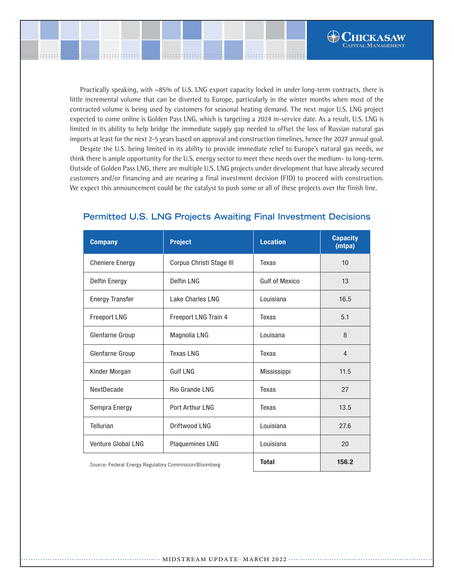Practically speaking, with ~85% of U.S. LNG export capacity locked in under long-term contracts, there is little incremental volume that can be diverted to Europe, particularly in the winter months when most of the contracted volume is being used by customers for seasonal heating demand. The next major U.S. LNG project expected to come online is Golden Pass LNG, which is targeting a 2024 in-service date. As a result, U.S. LNG is limited in its ability to help bridge the immediate supply gap needed to offset the loss of Russian natural gas imports at least for the next 2-5 years based on approval and construction timelines, hence the 2027 annual goal.

 $\bigoplus$ Chickasaw **LAPITAL MANAGEMENT** 

.......................................................................................................[.](http://www.chickasawcap.com) ........................................................................................................

> Despite the U.S. being limited in its ability to provide immediate relief to Europe's natural gas needs, we think there is ample opportunity for the U.S. energy sector to meet these needs over the medium- to long-term. Outside of Golden Pass LNG, there are multiple U.S. LNG projects under development that have already secured customers and/or financing and are nearing a final investment decision (FID) to proceed with construction. We expect this announcement could be the catalyst to push some or all of these projects over the finish line.

| <b>Company</b>                                         | <b>Project</b>           | <b>Location</b>       | <b>Capacity</b><br>(mtpa) |
|--------------------------------------------------------|--------------------------|-----------------------|---------------------------|
| <b>Cheniere Energy</b>                                 | Corpus Christi Stage III | Texas                 | 10                        |
| <b>Delfin Energy</b>                                   | <b>Delfin LNG</b>        | <b>Gulf of Mexico</b> | 13                        |
| <b>Energy Transfer</b>                                 | <b>Lake Charles LNG</b>  | Louisiana             | 16.5                      |
| <b>Freeport LNG</b>                                    | Freeport LNG Train 4     | Texas                 | 5.1                       |
| Glenfarne Group                                        | Magnolia LNG             | Louisana              | 8                         |
| Glenfarne Group                                        | <b>Texas LNG</b>         | Texas                 | 4                         |
| Kinder Morgan                                          | <b>Gulf LNG</b>          | <b>Mississippi</b>    | 11.5                      |
| NextDecade                                             | Rio Grande LNG           | Texas                 | 27                        |
| Sempra Energy                                          | <b>Port Arthur LNG</b>   | <b>Texas</b>          | 13.5                      |
| Tellurian                                              | Driftwood LNG            | Louisiana             | 27.6                      |
| <b>Venture Global LNG</b>                              | <b>Plaquemines LNG</b>   | Louisiana             | 20                        |
| Source: Federal Energy Regulatory Commission/Bloomberg |                          | <b>Total</b>          | 156.2                     |

### **Permitted U.S. LNG Projects Awaiting Final Investment Decisions**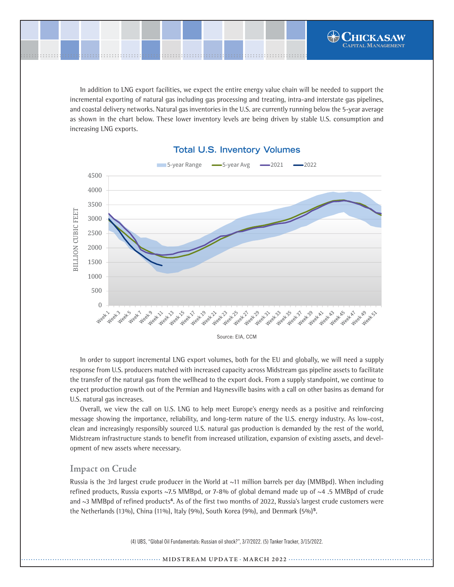In addition to LNG export facilities, we expect the entire energy value chain will be needed to support the incremental exporting of natural gas including gas processing and treating, intra-and interstate gas pipelines, and coastal delivery networks. Natural gas inventories in the U.S. are currently running below the 5-year average as shown in the chart below. These lower inventory levels are being driven by stable U.S. consumption and increasing LNG exports.

.......................................................................................................[.](http://www.chickasawcap.com) ........................................................................................................



### **Total U.S. Inventory Volumes Total U.S. Inventory Volumes**

In order to support incremental LNG export volumes, both for the EU and globally, we will need a supply response from U.S. producers matched with increased capacity across Midstream gas pipeline assets to facilitate the transfer of the natural gas from the wellhead to the export dock. From a supply standpoint, we continue to expect production growth out of the Permian and Haynesville basins with a call on other basins as demand for U.S. natural gas increases.

Overall, we view the call on U.S. LNG to help meet Europe's energy needs as a positive and reinforcing message showing the importance, reliability, and long-term nature of the U.S. energy industry. As low-cost, clean and increasingly responsibly sourced U.S. natural gas production is demanded by the rest of the world, Midstream infrastructure stands to benefit from increased utilization, expansion of existing assets, and development of new assets where necessary.

#### **Impact on Crude**

chickasawcap.com | 800.743.5410 end of the end of the end of the presentation at the presentation of the presentation

Source: U.S. Department of Energy

Russia is the 3rd largest crude producer in the World at  $\sim$ 11 million barrels per day (MMBpd). When including refined products, Russia exports ~7.5 MMBpd, or 7-8% of global demand made up of ~4 .5 MMBpd of crude and ~3 MMBpd of refined products**<sup>4</sup>**. As of the first two months of 2022, Russia's largest crude customers were the Netherlands (13%), China (11%), Italy (9%), South Korea (9%), and Denmark (5%)**<sup>5</sup>**.

(4) UBS, "Global Oil Fundamentals: Russian oil shock?", 3/7/2022. (5) Tanker Tracker, 3/15/2022.

#### ............ **MIDSTREAM UPDATE** · MARCH 2022 ············